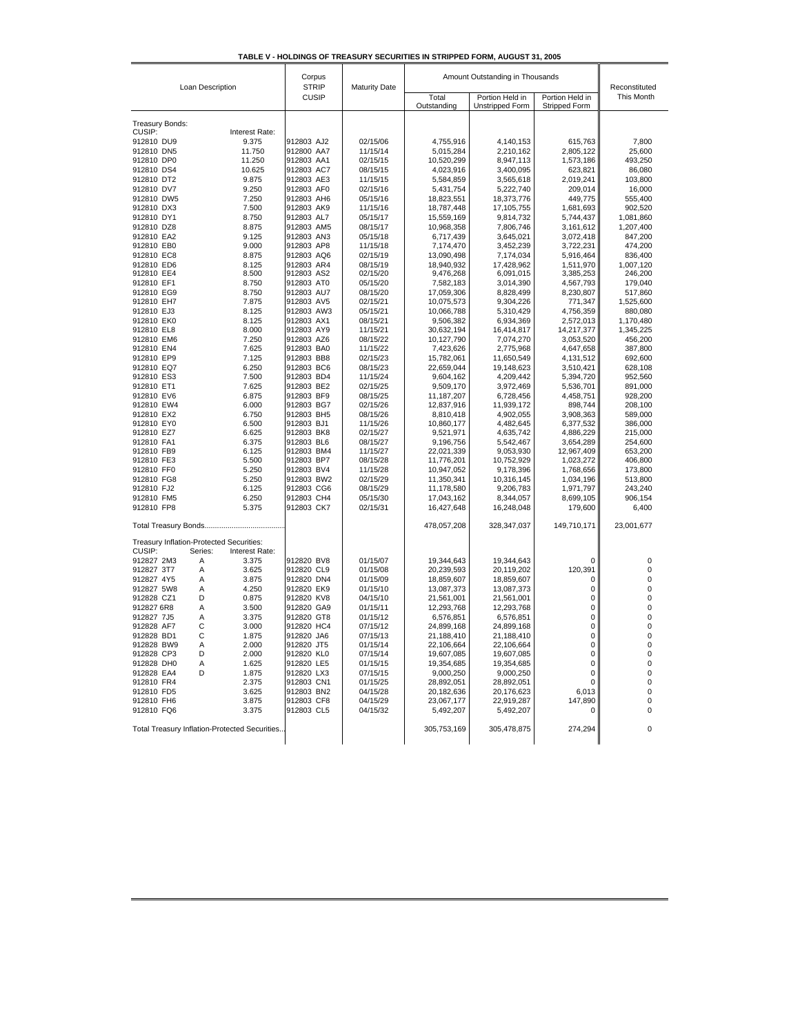| TABLE V - HOLDINGS OF TREASURY SECURITIES IN STRIPPED FORM, AUGUST 31, 2005 |  |  |  |
|-----------------------------------------------------------------------------|--|--|--|

| Loan Description         |                                               | Corpus<br><b>STRIP</b>   | <b>Maturity Date</b> | Amount Outstanding in Thousands | Reconstituted                      |                                  |                        |
|--------------------------|-----------------------------------------------|--------------------------|----------------------|---------------------------------|------------------------------------|----------------------------------|------------------------|
|                          |                                               | CUSIP                    |                      | Total<br>Outstanding            | Portion Held in<br>Unstripped Form | Portion Held in<br>Stripped Form | This Month             |
| Treasury Bonds:          |                                               |                          |                      |                                 |                                    |                                  |                        |
| CUSIP:                   | Interest Rate:                                |                          |                      |                                 |                                    |                                  |                        |
| 912810 DU9               | 9.375                                         | 912803 AJ2               | 02/15/06             | 4,755,916                       | 4,140,153                          | 615.763                          | 7,800                  |
| 912810 DN5               | 11.750                                        | 912800 AA7               | 11/15/14             | 5,015,284                       | 2,210,162                          | 2,805,122                        | 25,600                 |
| 912810 DP0               | 11.250                                        | 912803 AA1               | 02/15/15             | 10,520,299                      | 8,947,113                          | 1,573,186                        | 493,250                |
| 912810 DS4               | 10.625                                        | 912803 AC7               | 08/15/15             | 4,023,916                       | 3,400,095                          | 623,821                          | 86,080                 |
| 912810 DT2               | 9.875                                         | 912803 AE3               | 11/15/15             | 5,584,859                       | 3,565,618                          | 2,019,241                        | 103,800                |
| 912810 DV7               | 9.250                                         | 912803 AF0               | 02/15/16             | 5,431,754                       | 5,222,740                          | 209,014                          | 16,000                 |
| 912810 DW5               | 7.250                                         | 912803 AH6               | 05/15/16             | 18,823,551                      | 18,373,776                         | 449.775                          | 555,400                |
| 912810 DX3               | 7.500                                         | 912803 AK9               | 11/15/16             | 18,787,448                      | 17,105,755                         | 1,681,693                        | 902,520                |
| 912810 DY1<br>912810 DZ8 | 8.750<br>8.875                                | 912803 AL7<br>912803 AM5 | 05/15/17<br>08/15/17 | 15,559,169<br>10,968,358        | 9,814,732                          | 5,744,437<br>3,161,612           | 1,081,860<br>1,207,400 |
| 912810 EA2               | 9.125                                         | 912803 AN3               | 05/15/18             | 6.717.439                       | 7,806,746<br>3,645,021             | 3,072,418                        | 847,200                |
| 912810 EB0               | 9.000                                         | 912803 AP8               | 11/15/18             | 7,174,470                       | 3,452,239                          | 3,722,231                        | 474,200                |
| 912810 EC8               | 8.875                                         | 912803 AQ6               | 02/15/19             | 13,090,498                      | 7,174,034                          | 5,916,464                        | 836,400                |
| 912810 ED6               | 8.125                                         | 912803 AR4               | 08/15/19             | 18,940,932                      | 17,428,962                         | 1,511,970                        | 1,007,120              |
| 912810 EE4               | 8.500                                         | 912803 AS2               | 02/15/20             | 9,476,268                       | 6,091,015                          | 3,385,253                        | 246,200                |
| 912810 EF1               | 8.750                                         | 912803 AT0               | 05/15/20             | 7,582,183                       | 3,014,390                          | 4,567,793                        | 179,040                |
| 912810 EG9               | 8.750                                         | 912803 AU7               | 08/15/20             | 17,059,306                      | 8,828,499                          | 8,230,807                        | 517,860                |
| 912810 EH7               | 7.875                                         | 912803 AV5               | 02/15/21             | 10,075,573                      | 9,304,226                          | 771,347                          | 1,525,600              |
| 912810 EJ3               | 8.125                                         | 912803 AW3               | 05/15/21             | 10,066,788                      | 5,310,429                          | 4,756,359                        | 880,080                |
| 912810 EK0               | 8.125                                         | 912803 AX1               | 08/15/21             | 9,506,382                       | 6,934,369                          | 2,572,013                        | 1,170,480              |
| 912810 EL8               | 8.000                                         | 912803 AY9               | 11/15/21             | 30,632,194                      | 16,414,817                         | 14,217,377                       | 1,345,225              |
| 912810 EM6               | 7.250                                         | 912803 AZ6               | 08/15/22             | 10,127,790                      | 7,074,270                          | 3,053,520                        | 456,200                |
| 912810 EN4               | 7.625                                         | 912803 BA0               | 11/15/22             | 7,423,626                       | 2,775,968                          | 4,647,658                        | 387,800                |
| 912810 EP9               | 7.125                                         | 912803 BB8               | 02/15/23             | 15,782,061                      | 11,650,549                         | 4,131,512                        | 692,600                |
| 912810 EQ7               | 6.250                                         | 912803 BC6               | 08/15/23             | 22,659,044                      | 19,148,623                         | 3,510,421                        | 628,108                |
| 912810 ES3               | 7.500                                         | 912803 BD4               | 11/15/24<br>02/15/25 | 9,604,162                       | 4.209.442                          | 5,394,720                        | 952,560                |
| 912810 ET1<br>912810 EV6 | 7.625<br>6.875                                | 912803 BE2<br>912803 BF9 | 08/15/25             | 9,509,170<br>11,187,207         | 3,972,469<br>6,728,456             | 5,536,701<br>4,458,751           | 891,000<br>928,200     |
| 912810 EW4               | 6.000                                         | 912803 BG7               | 02/15/26             | 12,837,916                      | 11,939,172                         | 898,744                          | 208,100                |
| 912810 EX2               | 6.750                                         | 912803 BH5               | 08/15/26             | 8,810,418                       | 4,902,055                          | 3,908,363                        | 589,000                |
| 912810 EY0               | 6.500                                         | 912803 BJ1               | 11/15/26             | 10,860,177                      | 4,482,645                          | 6,377,532                        | 386,000                |
| 912810 EZ7               | 6.625                                         | 912803 BK8               | 02/15/27             | 9,521,971                       | 4,635,742                          | 4,886,229                        | 215,000                |
| 912810 FA1               | 6.375                                         | 912803 BL6               | 08/15/27             | 9,196,756                       | 5,542,467                          | 3,654,289                        | 254,600                |
| 912810 FB9               | 6.125                                         | 912803 BM4               | 11/15/27             | 22,021,339                      | 9,053,930                          | 12,967,409                       | 653,200                |
| 912810 FE3               | 5.500                                         | 912803 BP7               | 08/15/28             | 11,776,201                      | 10,752,929                         | 1,023,272                        | 406,800                |
| 912810 FF0               | 5.250                                         | 912803 BV4               | 11/15/28             | 10,947,052                      | 9,178,396                          | 1,768,656                        | 173,800                |
| 912810 FG8               | 5.250                                         | 912803 BW2               | 02/15/29             | 11,350,341                      | 10,316,145                         | 1,034,196                        | 513,800                |
| 912810 FJ2               | 6.125                                         | 912803 CG6               | 08/15/29             | 11,178,580                      | 9,206,783                          | 1,971,797                        | 243,240                |
| 912810 FM5               | 6.250                                         | 912803 CH4               | 05/15/30             | 17,043,162                      | 8,344,057                          | 8,699,105                        | 906,154                |
| 912810 FP8               | 5.375                                         | 912803 CK7               | 02/15/31             | 16,427,648                      | 16,248,048                         | 179,600                          | 6,400                  |
|                          |                                               |                          |                      | 478,057,208                     | 328,347,037                        | 149,710,171                      | 23,001,677             |
|                          | Treasury Inflation-Protected Securities:      |                          |                      |                                 |                                    |                                  |                        |
| CUSIP:                   | Series:<br>Interest Rate:                     |                          |                      |                                 |                                    |                                  |                        |
| 912827 2M3               | 3.375<br>Α                                    | 912820 BV8               | 01/15/07             | 19,344,643                      | 19,344,643                         | 0                                | 0                      |
| 912827 3T7               | 3.625<br>Α                                    | 912820 CL9               | 01/15/08             | 20,239,593                      | 20,119,202                         | 120,391                          | 0                      |
| 912827 4Y5               | 3.875<br>A                                    | 912820 DN4               | 01/15/09             | 18,859,607                      | 18,859,607                         | 0                                | 0                      |
| 912827 5W8               | Α<br>4.250<br>D                               | 912820 EK9               | 01/15/10             | 13,087,373                      | 13,087,373                         | 0                                | 0                      |
| 912828 CZ1<br>912827 6R8 | 0.875<br>Α<br>3.500                           | 912820 KV8<br>912820 GA9 | 04/15/10<br>01/15/11 | 21,561,001<br>12,293,768        | 21,561,001<br>12,293,768           | 0<br>0                           | 0<br>0                 |
| 912827 7J5               | Α<br>3.375                                    | 912820 GT8               | 01/15/12             | 6,576,851                       | 6,576,851                          | 0                                | 0                      |
| 912828 AF7               | C<br>3.000                                    | 912820 HC4               | 07/15/12             | 24,899,168                      | 24,899,168                         | 0                                | 0                      |
| 912828 BD1               | C<br>1.875                                    | 912820 JA6               | 07/15/13             | 21,188,410                      | 21,188,410                         | 0                                | 0                      |
| 912828 BW9               | A<br>2.000                                    | 912820 JT5               | 01/15/14             | 22,106,664                      | 22,106,664                         | 0                                | 0                      |
| 912828 CP3               | D<br>2.000                                    | 912820 KL0               | 07/15/14             | 19,607,085                      | 19,607,085                         | 0                                | 0                      |
| 912828 DH0               | Α<br>1.625                                    | 912820 LE5               | 01/15/15             | 19,354,685                      | 19,354,685                         | 0                                | 0                      |
| 912828 EA4               | D<br>1.875                                    | 912820 LX3               | 07/15/15             | 9,000,250                       | 9,000,250                          | 0                                | 0                      |
| 912810 FR4               | 2.375                                         | 912803 CN1               | 01/15/25             | 28,892,051                      | 28,892,051                         | 0                                | 0                      |
| 912810 FD5               | 3.625                                         | 912803 BN2               | 04/15/28             | 20,182,636                      | 20,176,623                         | 6,013                            | 0                      |
| 912810 FH6               | 3.875                                         | 912803 CF8               | 04/15/29             | 23,067,177                      | 22,919,287                         | 147,890                          | 0                      |
| 912810 FQ6               | 3.375                                         | 912803 CL5               | 04/15/32             | 5,492,207                       | 5,492,207                          | 0                                | 0                      |
|                          | Total Treasury Inflation-Protected Securities |                          |                      | 305,753,169                     | 305,478,875                        | 274,294                          | 0                      |
|                          |                                               |                          |                      |                                 |                                    |                                  |                        |